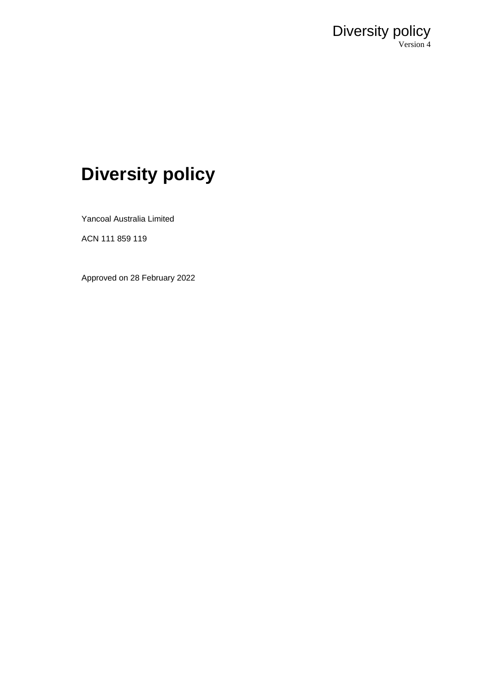

# **Diversity policy**

Yancoal Australia Limited

ACN 111 859 119

Approved on 28 February 2022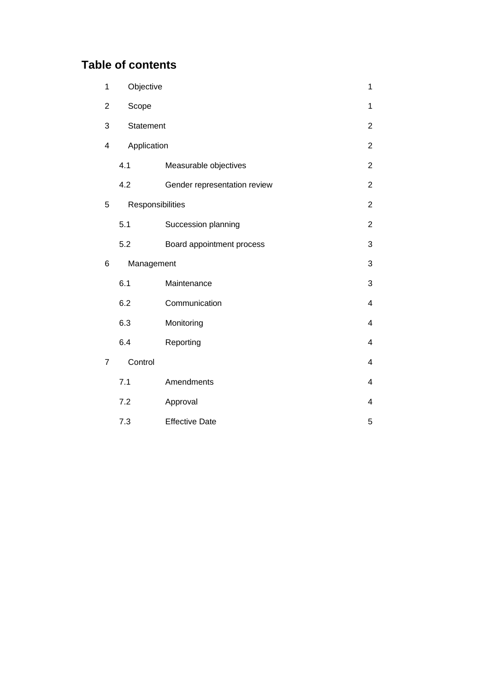## **Table of contents**

| 1              | Objective<br>1 |                              |                |
|----------------|----------------|------------------------------|----------------|
| $\overline{2}$ | Scope          |                              | 1              |
| 3              | Statement      |                              | $\overline{2}$ |
| 4              | Application    |                              | $\overline{2}$ |
|                | 4.1            | Measurable objectives        | $\overline{2}$ |
|                | 4.2            | Gender representation review | $\overline{2}$ |
| 5              |                | Responsibilities             |                |
|                | 5.1            | Succession planning          | $\overline{2}$ |
|                | 5.2            | Board appointment process    | 3              |
| 6              | Management     |                              | 3              |
|                | 6.1            | Maintenance                  | 3              |
|                | 6.2            | Communication                | 4              |
|                | 6.3            | Monitoring                   | $\overline{4}$ |
|                | 6.4            | Reporting                    | 4              |
| $\overline{7}$ | Control        |                              | 4              |
|                | 7.1            | Amendments                   | 4              |
|                | 7.2            | Approval                     | 4              |
|                | 7.3            | <b>Effective Date</b>        | 5              |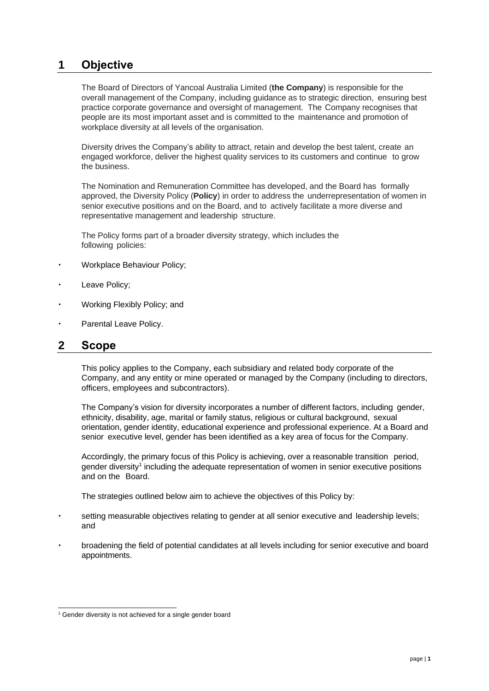## **1 Objective**

The Board of Directors of Yancoal Australia Limited (**the Company**) is responsible for the overall management of the Company, including guidance as to strategic direction, ensuring best practice corporate governance and oversight of management. The Company recognises that people are its most important asset and is committed to the maintenance and promotion of workplace diversity at all levels of the organisation.

Diversity drives the Company's ability to attract, retain and develop the best talent, create an engaged workforce, deliver the highest quality services to its customers and continue to grow the business.

The Nomination and Remuneration Committee has developed, and the Board has formally approved, the Diversity Policy (**Policy**) in order to address the underrepresentation of women in senior executive positions and on the Board, and to actively facilitate a more diverse and representative management and leadership structure.

The Policy forms part of a broader diversity strategy, which includes the following policies:

- Workplace Behaviour Policy;
- Leave Policy;
- Working Flexibly Policy; and
- Parental Leave Policy.

#### **2 Scope**

This policy applies to the Company, each subsidiary and related body corporate of the Company, and any entity or mine operated or managed by the Company (including to directors, officers, employees and subcontractors).

The Company's vision for diversity incorporates a number of different factors, including gender, ethnicity, disability, age, marital or family status, religious or cultural background, sexual orientation, gender identity, educational experience and professional experience. At a Board and senior executive level, gender has been identified as a key area of focus for the Company.

Accordingly, the primary focus of this Policy is achieving, over a reasonable transition period, gender diversity<sup>1</sup> including the adequate representation of women in senior executive positions and on the Board.

The strategies outlined below aim to achieve the objectives of this Policy by:

- setting measurable objectives relating to gender at all senior executive and leadership levels; and
- broadening the field of potential candidates at all levels including for senior executive and board appointments.

<sup>&</sup>lt;sup>1</sup> Gender diversity is not achieved for a single gender board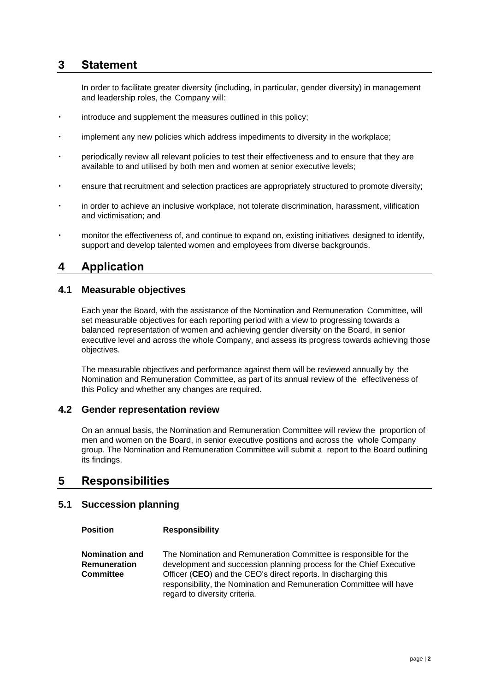## **3 Statement**

In order to facilitate greater diversity (including, in particular, gender diversity) in management and leadership roles, the Company will:

- introduce and supplement the measures outlined in this policy;
- implement any new policies which address impediments to diversity in the workplace;
- periodically review all relevant policies to test their effectiveness and to ensure that they are available to and utilised by both men and women at senior executive levels;
- ensure that recruitment and selection practices are appropriately structured to promote diversity;
- in order to achieve an inclusive workplace, not tolerate discrimination, harassment, vilification and victimisation; and
- monitor the effectiveness of, and continue to expand on, existing initiatives designed to identify, support and develop talented women and employees from diverse backgrounds.

## **4 Application**

#### **4.1 Measurable objectives**

Each year the Board, with the assistance of the Nomination and Remuneration Committee, will set measurable objectives for each reporting period with a view to progressing towards a balanced representation of women and achieving gender diversity on the Board, in senior executive level and across the whole Company, and assess its progress towards achieving those objectives.

The measurable objectives and performance against them will be reviewed annually by the Nomination and Remuneration Committee, as part of its annual review of the effectiveness of this Policy and whether any changes are required.

#### **4.2 Gender representation review**

On an annual basis, the Nomination and Remuneration Committee will review the proportion of men and women on the Board, in senior executive positions and across the whole Company group. The Nomination and Remuneration Committee will submit a report to the Board outlining its findings.

#### **5 Responsibilities**

#### **5.1 Succession planning**

**Position Responsibility**

**Nomination and Remuneration Committee** The Nomination and Remuneration Committee is responsible for the development and succession planning process for the Chief Executive Officer (**CEO**) and the CEO's direct reports. In discharging this responsibility, the Nomination and Remuneration Committee will have regard to diversity criteria.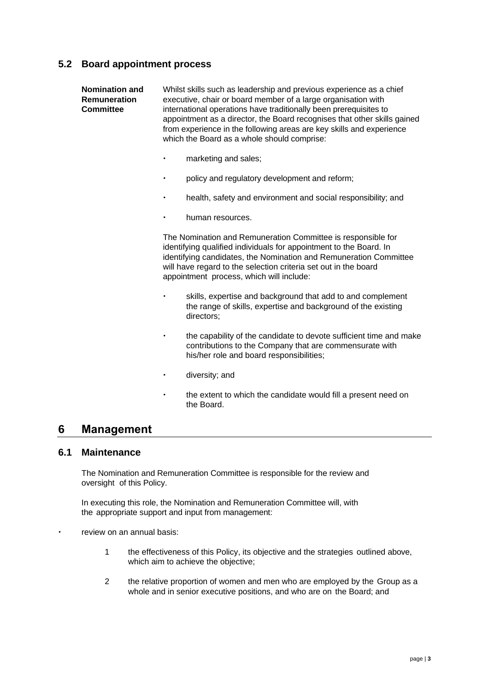#### **5.2 Board appointment process**

| <b>Nomination and</b><br><b>Remuneration</b><br><b>Committee</b> | Whilst skills such as leadership and previous experience as a chief<br>executive, chair or board member of a large organisation with<br>international operations have traditionally been prerequisites to<br>appointment as a director, the Board recognises that other skills gained<br>from experience in the following areas are key skills and experience<br>which the Board as a whole should comprise: |
|------------------------------------------------------------------|--------------------------------------------------------------------------------------------------------------------------------------------------------------------------------------------------------------------------------------------------------------------------------------------------------------------------------------------------------------------------------------------------------------|
|                                                                  | marketing and sales;                                                                                                                                                                                                                                                                                                                                                                                         |
|                                                                  | policy and regulatory development and reform;<br>$\bullet$                                                                                                                                                                                                                                                                                                                                                   |

- health, safety and environment and social responsibility; and
- human resources.

The Nomination and Remuneration Committee is responsible for identifying qualified individuals for appointment to the Board. In identifying candidates, the Nomination and Remuneration Committee will have regard to the selection criteria set out in the board appointment process, which will include:

- skills, expertise and background that add to and complement the range of skills, expertise and background of the existing directors;
- the capability of the candidate to devote sufficient time and make contributions to the Company that are commensurate with his/her role and board responsibilities;
- diversity; and
- the extent to which the candidate would fill a present need on the Board.

#### **6 Management**

#### **6.1 Maintenance**

The Nomination and Remuneration Committee is responsible for the review and oversight of this Policy.

In executing this role, the Nomination and Remuneration Committee will, with the appropriate support and input from management:

- review on an annual basis:
	- 1 the effectiveness of this Policy, its objective and the strategies outlined above, which aim to achieve the objective;
	- 2 the relative proportion of women and men who are employed by the Group as a whole and in senior executive positions, and who are on the Board; and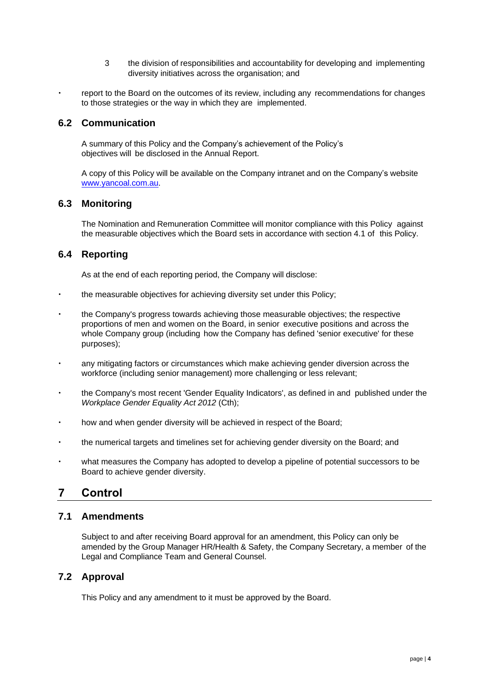- 3 the division of responsibilities and accountability for developing and implementing diversity initiatives across the organisation; and
- report to the Board on the outcomes of its review, including any recommendations for changes to those strategies or the way in which they are implemented.

#### **6.2 Communication**

A summary of this Policy and the Company's achievement of the Policy's objectives will be disclosed in the Annual Report.

A copy of this Policy will be available on the Company intranet and on the Company's website www.yancoal.com.au.

#### **6.3 Monitoring**

The Nomination and Remuneration Committee will monitor compliance with this Policy against the measurable objectives which the Board sets in accordance with section 4.1 of this Policy.

#### **6.4 Reporting**

As at the end of each reporting period, the Company will disclose:

- the measurable objectives for achieving diversity set under this Policy;
- the Company's progress towards achieving those measurable objectives; the respective proportions of men and women on the Board, in senior executive positions and across the whole Company group (including how the Company has defined 'senior executive' for these purposes);
- any mitigating factors or circumstances which make achieving gender diversion across the workforce (including senior management) more challenging or less relevant;
- the Company's most recent 'Gender Equality Indicators', as defined in and published under the *Workplace Gender Equality Act 2012* (Cth);
- how and when gender diversity will be achieved in respect of the Board;
- the numerical targets and timelines set for achieving gender diversity on the Board; and
- what measures the Company has adopted to develop a pipeline of potential successors to be Board to achieve gender diversity.

## **7 Control**

#### **7.1 Amendments**

Subject to and after receiving Board approval for an amendment, this Policy can only be amended by the Group Manager HR/Health & Safety, the Company Secretary, a member of the Legal and Compliance Team and General Counsel.

#### **7.2 Approval**

This Policy and any amendment to it must be approved by the Board.